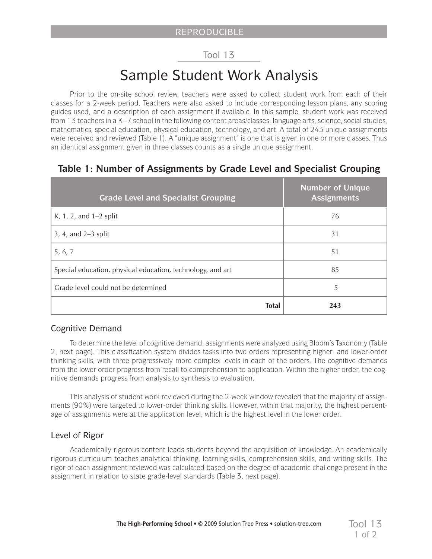#### Tool 13

# Sample Student Work Analysis

Prior to the on-site school review, teachers were asked to collect student work from each of their classes for a 2-week period. Teachers were also asked to include corresponding lesson plans, any scoring guides used, and a description of each assignment if available. In this sample, student work was received from 13 teachers in a K–7 school in the following content areas/classes: language arts, science, social studies, mathematics, special education, physical education, technology, and art. A total of 243 unique assignments were received and reviewed (Table 1). A "unique assignment" is one that is given in one or more classes. Thus an identical assignment given in three classes counts as a single unique assignment.

#### **Table 1: Number of Assignments by Grade Level and Specialist Grouping**

| <b>Grade Level and Specialist Grouping</b>                 | <b>Number of Unique</b><br><b>Assignments</b> |
|------------------------------------------------------------|-----------------------------------------------|
| K, 1, 2, and 1-2 split                                     | 76                                            |
| $3, 4,$ and $2-3$ split                                    | 31                                            |
| 5, 6, 7                                                    | 51                                            |
| Special education, physical education, technology, and art | 85                                            |
| Grade level could not be determined                        | 5                                             |
| <b>Total</b>                                               | 243                                           |

#### Cognitive Demand

To determine the level of cognitive demand, assignments were analyzed using Bloom's Taxonomy (Table 2, next page). This classification system divides tasks into two orders representing higher- and lower-order thinking skills, with three progressively more complex levels in each of the orders. The cognitive demands from the lower order progress from recall to comprehension to application. Within the higher order, the cognitive demands progress from analysis to synthesis to evaluation.

This analysis of student work reviewed during the 2-week window revealed that the majority of assignments (90%) were targeted to lower-order thinking skills. However, within that majority, the highest percentage of assignments were at the application level, which is the highest level in the lower order.

#### Level of Rigor

Academically rigorous content leads students beyond the acquisition of knowledge. An academically rigorous curriculum teaches analytical thinking, learning skills, comprehension skills, and writing skills. The rigor of each assignment reviewed was calculated based on the degree of academic challenge present in the assignment in relation to state grade-level standards (Table 3, next page).